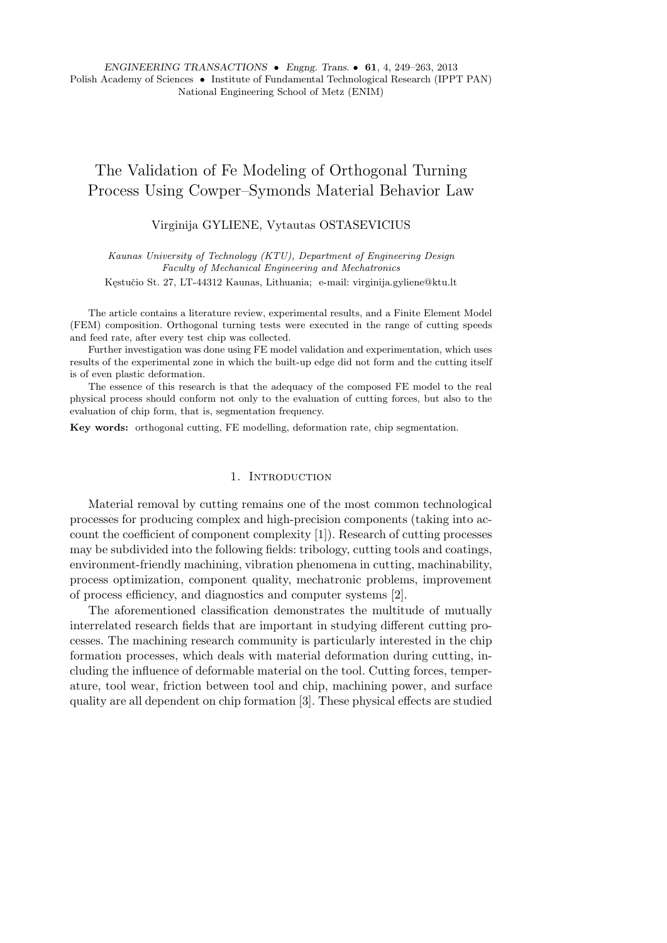*ENGINEERING TRANSACTIONS • Engng. Trans. •* **61**, 4, 249–263, 2013 Polish Academy of Sciences *•* Institute of Fundamental Technological Research (IPPT PAN) National Engineering School of Metz (ENIM)

# The Validation of Fe Modeling of Orthogonal Turning Process Using Cowper–Symonds Material Behavior Law

Virginija GYLIENE, Vytautas OSTASEVICIUS

*Kaunas University of Technology (KTU), Department of Engineering Design Faculty of Mechanical Engineering and Mechatronics*

Kęstučio St. 27, LT-44312 Kaunas, Lithuania; e-mail: virginija.gyliene@ktu.lt

The article contains a literature review, experimental results, and a Finite Element Model (FEM) composition. Orthogonal turning tests were executed in the range of cutting speeds and feed rate, after every test chip was collected.

Further investigation was done using FE model validation and experimentation, which uses results of the experimental zone in which the built-up edge did not form and the cutting itself is of even plastic deformation.

The essence of this research is that the adequacy of the composed FE model to the real physical process should conform not only to the evaluation of cutting forces, but also to the evaluation of chip form, that is, segmentation frequency.

**Key words:** orthogonal cutting, FE modelling, deformation rate, chip segmentation.

#### 1. INTRODUCTION

Material removal by cutting remains one of the most common technological processes for producing complex and high-precision components (taking into account the coefficient of component complexity [1]). Research of cutting processes may be subdivided into the following fields: tribology, cutting tools and coatings, environment-friendly machining, vibration phenomena in cutting, machinability, process optimization, component quality, mechatronic problems, improvement of process efficiency, and diagnostics and computer systems [2].

The aforementioned classification demonstrates the multitude of mutually interrelated research fields that are important in studying different cutting processes. The machining research community is particularly interested in the chip formation processes, which deals with material deformation during cutting, including the influence of deformable material on the tool. Cutting forces, temperature, tool wear, friction between tool and chip, machining power, and surface quality are all dependent on chip formation [3]. These physical effects are studied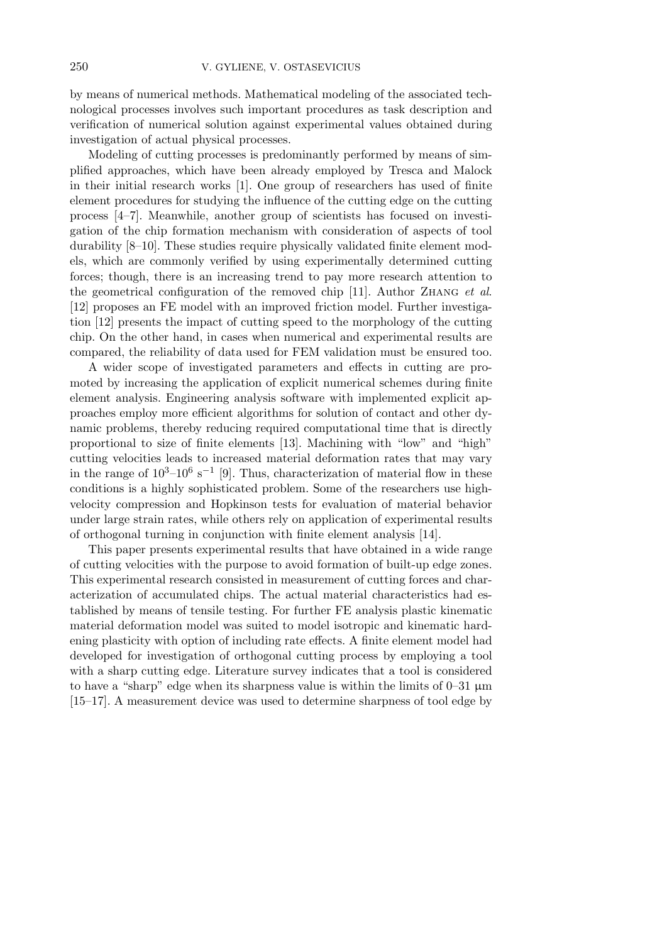by means of numerical methods. Mathematical modeling of the associated technological processes involves such important procedures as task description and verification of numerical solution against experimental values obtained during investigation of actual physical processes.

Modeling of cutting processes is predominantly performed by means of simplified approaches, which have been already employed by Tresca and Malock in their initial research works [1]. One group of researchers has used of finite element procedures for studying the influence of the cutting edge on the cutting process [4–7]. Meanwhile, another group of scientists has focused on investigation of the chip formation mechanism with consideration of aspects of tool durability [8–10]. These studies require physically validated finite element models, which are commonly verified by using experimentally determined cutting forces; though, there is an increasing trend to pay more research attention to the geometrical configuration of the removed chip [11]. Author Zhang *et al*. [12] proposes an FE model with an improved friction model. Further investigation [12] presents the impact of cutting speed to the morphology of the cutting chip. On the other hand, in cases when numerical and experimental results are compared, the reliability of data used for FEM validation must be ensured too.

A wider scope of investigated parameters and effects in cutting are promoted by increasing the application of explicit numerical schemes during finite element analysis. Engineering analysis software with implemented explicit approaches employ more efficient algorithms for solution of contact and other dynamic problems, thereby reducing required computational time that is directly proportional to size of finite elements [13]. Machining with "low" and "high" cutting velocities leads to increased material deformation rates that may vary in the range of  $10^3$ −10<sup>6</sup> s<sup>−1</sup> [9]. Thus, characterization of material flow in these conditions is a highly sophisticated problem. Some of the researchers use highvelocity compression and Hopkinson tests for evaluation of material behavior under large strain rates, while others rely on application of experimental results of orthogonal turning in conjunction with finite element analysis [14].

This paper presents experimental results that have obtained in a wide range of cutting velocities with the purpose to avoid formation of built-up edge zones. This experimental research consisted in measurement of cutting forces and characterization of accumulated chips. The actual material characteristics had established by means of tensile testing. For further FE analysis plastic kinematic material deformation model was suited to model isotropic and kinematic hardening plasticity with option of including rate effects. A finite element model had developed for investigation of orthogonal cutting process by employing a tool with a sharp cutting edge. Literature survey indicates that a tool is considered to have a "sharp" edge when its sharpness value is within the limits of  $0-31 \mu m$ [15–17]. A measurement device was used to determine sharpness of tool edge by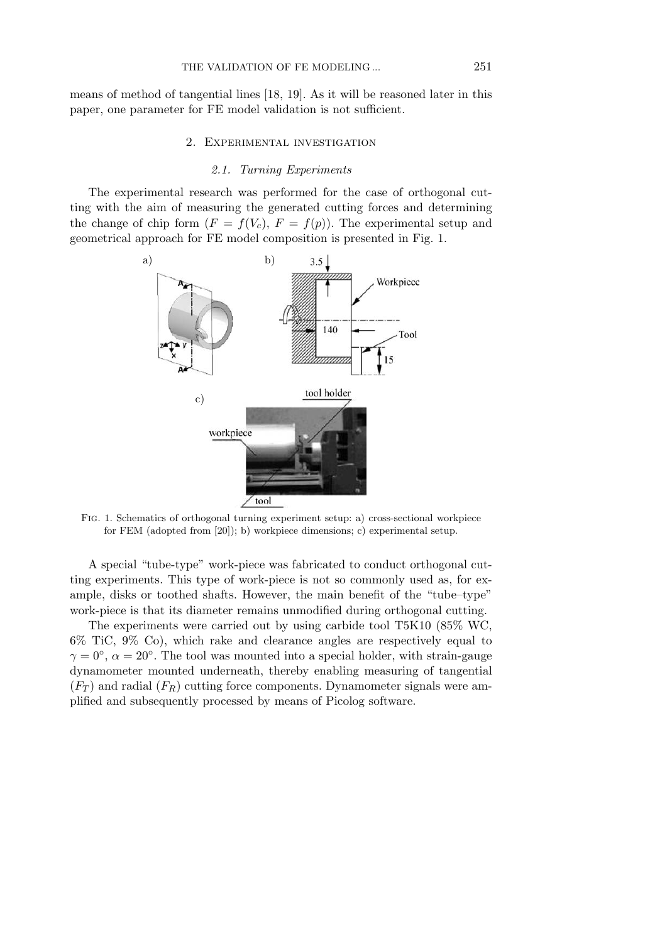means of method of tangential lines [18, 19]. As it will be reasoned later in this paper, one parameter for FE model validation is not sufficient.

### 2. Experimental investigation

### *2.1. Turning Experiments*

The experimental research was performed for the case of orthogonal cutting with the aim of measuring the generated cutting forces and determining the change of chip form  $(F = f(V_c), F = f(p))$ . The experimental setup and geometrical approach for FE model composition is presented in Fig. 1.



Fig. 1. Schematics of orthogonal turning experiment setup: a) cross-sectional workpiece for FEM (adopted from [20]); b) workpiece dimensions; c) experimental setup.

A special "tube-type" work-piece was fabricated to conduct orthogonal cutting experiments. This type of work-piece is not so commonly used as, for example, disks or toothed shafts. However, the main benefit of the "tube–type" work-piece is that its diameter remains unmodified during orthogonal cutting.

The experiments were carried out by using carbide tool T5K10 (85% WC, 6% TiC, 9% Co), which rake and clearance angles are respectively equal to  $\gamma = 0^{\circ}$ ,  $\alpha = 20^{\circ}$ . The tool was mounted into a special holder, with strain-gauge dynamometer mounted underneath, thereby enabling measuring of tangential (*F<sup>T</sup>* ) and radial (*FR*) cutting force components. Dynamometer signals were amplified and subsequently processed by means of Picolog software.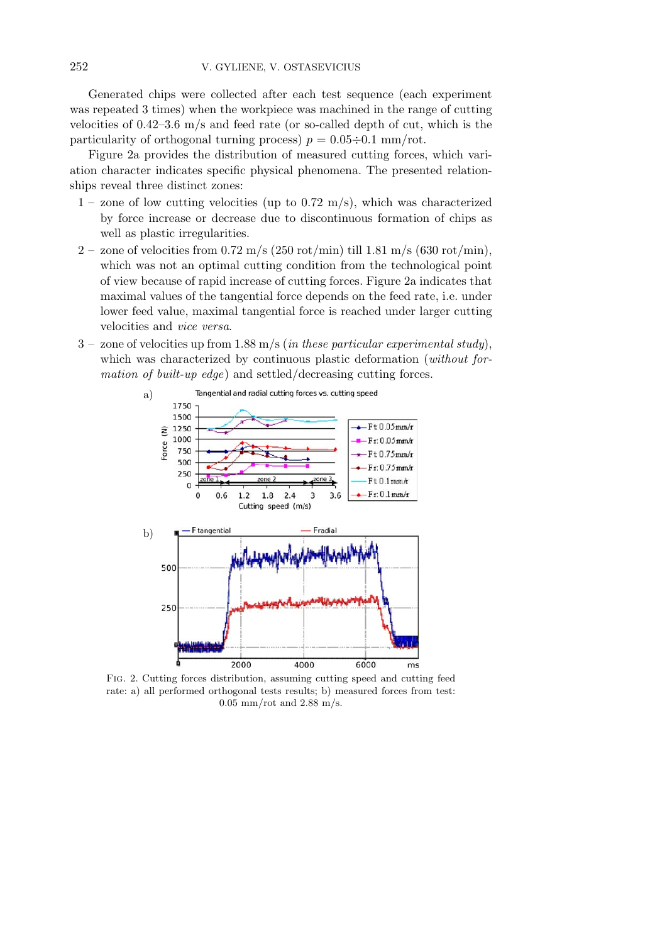Generated chips were collected after each test sequence (each experiment was repeated 3 times) when the workpiece was machined in the range of cutting velocities of  $0.42-3.6$  m/s and feed rate (or so-called depth of cut, which is the particularity of orthogonal turning process)  $p = 0.05 \div 0.1$  mm/rot.

Figure 2a provides the distribution of measured cutting forces, which variation character indicates specific physical phenomena. The presented relationships reveal three distinct zones:

- $1$  zone of low cutting velocities (up to 0.72 m/s), which was characterized by force increase or decrease due to discontinuous formation of chips as well as plastic irregularities.
- 2 zone of velocities from 0.72 m/s (250 rot/min) till 1.81 m/s (630 rot/min), which was not an optimal cutting condition from the technological point of view because of rapid increase of cutting forces. Figure 2a indicates that maximal values of the tangential force depends on the feed rate, i.e. under lower feed value, maximal tangential force is reached under larger cutting velocities and *vice versa*.
- 3 zone of velocities up from 1.88 m/s (*in these particular experimental study*), which was characterized by continuous plastic deformation (*without formation of built-up edge*) and settled/decreasing cutting forces.



Fig. 2. Cutting forces distribution, assuming cutting speed and cutting feed rate: a) all performed orthogonal tests results; b) measured forces from test:  $0.05$  mm/rot and  $2.88$  m/s.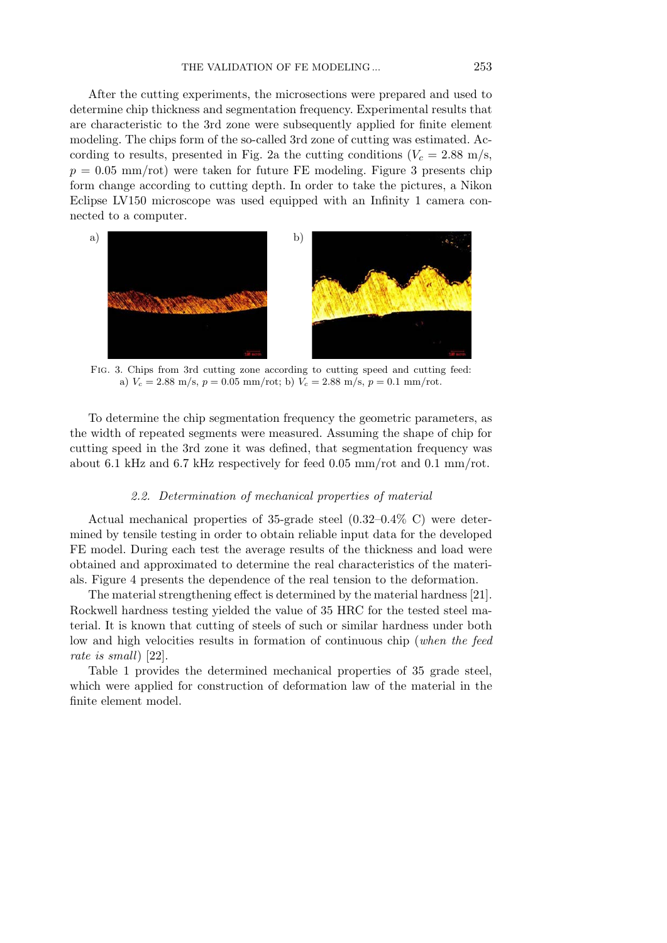After the cutting experiments, the microsections were prepared and used to determine chip thickness and segmentation frequency. Experimental results that are characteristic to the 3rd zone were subsequently applied for finite element modeling. The chips form of the so-called 3rd zone of cutting was estimated. According to results, presented in Fig. 2a the cutting conditions  $(V_c = 2.88 \text{ m/s})$ ,  $p = 0.05$  mm/rot) were taken for future FE modeling. Figure 3 presents chip form change according to cutting depth. In order to take the pictures, a Nikon Eclipse LV150 microscope was used equipped with an Infinity 1 camera connected to a computer.



Fig. 3. Chips from 3rd cutting zone according to cutting speed and cutting feed: a)  $V_c = 2.88 \text{ m/s}, p = 0.05 \text{ mm/rot}$ ; b)  $V_c = 2.88 \text{ m/s}, p = 0.1 \text{ mm/rot}$ .

To determine the chip segmentation frequency the geometric parameters, as the width of repeated segments were measured. Assuming the shape of chip for cutting speed in the 3rd zone it was defined, that segmentation frequency was about 6.1 kHz and 6.7 kHz respectively for feed 0.05 mm/rot and 0.1 mm/rot.

#### *2.2. Determination of mechanical properties of material*

Actual mechanical properties of 35-grade steel (0.32–0.4% C) were determined by tensile testing in order to obtain reliable input data for the developed FE model. During each test the average results of the thickness and load were obtained and approximated to determine the real characteristics of the materials. Figure 4 presents the dependence of the real tension to the deformation.

The material strengthening effect is determined by the material hardness [21]. Rockwell hardness testing yielded the value of 35 HRC for the tested steel material. It is known that cutting of steels of such or similar hardness under both low and high velocities results in formation of continuous chip (*when the feed rate is small*) [22].

Table 1 provides the determined mechanical properties of 35 grade steel, which were applied for construction of deformation law of the material in the finite element model.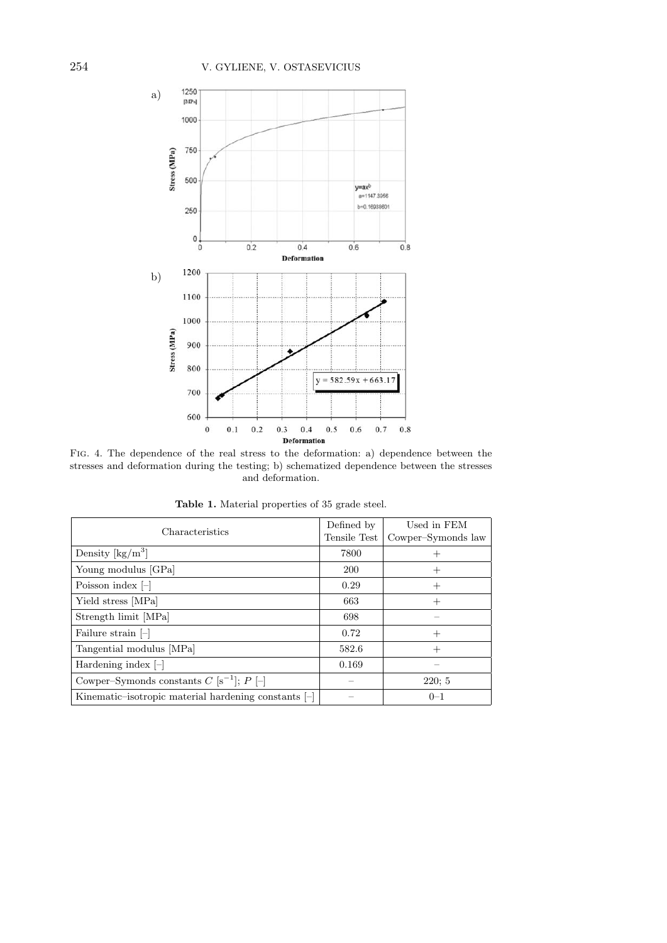

Fig. 4. The dependence of the real stress to the deformation: a) dependence between the stresses and deformation during the testing; b) schematized dependence between the stresses and deformation.

| Characteristics                                                   | Defined by<br>Tensile Test | Used in FEM<br>Cowper-Symonds law |
|-------------------------------------------------------------------|----------------------------|-----------------------------------|
| Density $\lceil \text{kg/m}^3 \rceil$                             | 7800                       |                                   |
| Young modulus [GPa]                                               | <b>200</b>                 | $^+$                              |
| Poisson index $\left[-\right]$                                    | 0.29                       | $^+$                              |
| Yield stress [MPa]                                                | 663                        | $^{+}$                            |
| Strength limit [MPa]                                              | 698                        |                                   |
| Failure strain $\left[-\right]$                                   | 0.72                       | $^+$                              |
| Tangential modulus [MPa]                                          | 582.6                      | $^{+}$                            |
| Hardening index $\left[-\right]$                                  | 0.169                      |                                   |
| Cowper–Symonds constants $C$ [s <sup>-1</sup> ]; $P$ [-]          |                            | 220:5                             |
| Kinematic–isotropic material hardening constants $\left[-\right]$ |                            | $0 - 1$                           |

**Table 1.** Material properties of 35 grade steel.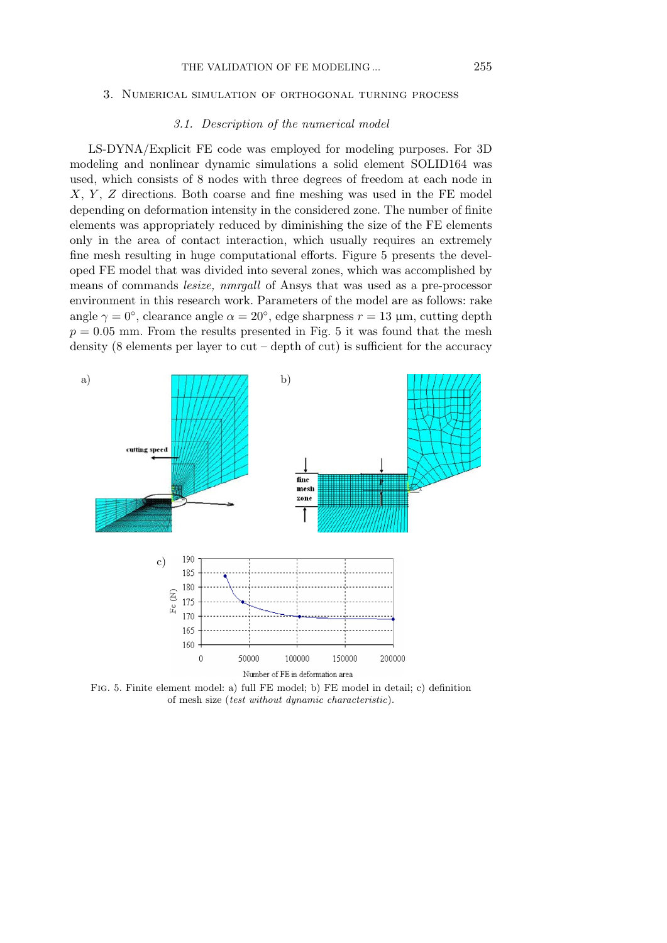#### 3. Numerical simulation of orthogonal turning process

#### *3.1. Description of the numerical model*

LS-DYNA/Explicit FE code was employed for modeling purposes. For 3D modeling and nonlinear dynamic simulations a solid element SOLID164 was used, which consists of 8 nodes with three degrees of freedom at each node in *X*, *Y* , *Z* directions. Both coarse and fine meshing was used in the FE model depending on deformation intensity in the considered zone. The number of finite elements was appropriately reduced by diminishing the size of the FE elements only in the area of contact interaction, which usually requires an extremely fine mesh resulting in huge computational efforts. Figure 5 presents the developed FE model that was divided into several zones, which was accomplished by means of commands *lesize, nmrgall* of Ansys that was used as a pre-processor environment in this research work. Parameters of the model are as follows: rake angle  $\gamma = 0^{\circ}$ , clearance angle  $\alpha = 20^{\circ}$ , edge sharpness  $r = 13 \mu$ m, cutting depth  $p = 0.05$  mm. From the results presented in Fig. 5 it was found that the mesh density (8 elements per layer to cut – depth of cut) is sufficient for the accuracy



Fig. 5. Finite element model: a) full FE model; b) FE model in detail; c) definition of mesh size (*test without dynamic characteristic*).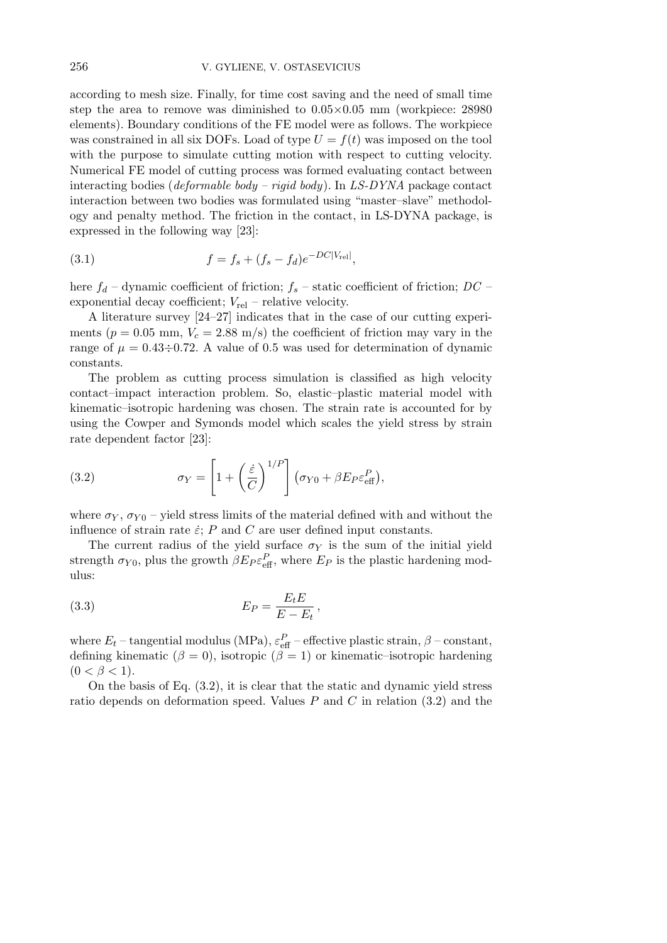according to mesh size. Finally, for time cost saving and the need of small time step the area to remove was diminished to 0.05*×*0.05 mm (workpiece: 28980 elements). Boundary conditions of the FE model were as follows. The workpiece was constrained in all six DOFs. Load of type  $U = f(t)$  was imposed on the tool with the purpose to simulate cutting motion with respect to cutting velocity. Numerical FE model of cutting process was formed evaluating contact between interacting bodies (*deformable body – rigid body*). In *LS-DYNA* package contact interaction between two bodies was formulated using "master–slave" methodology and penalty method. The friction in the contact, in LS-DYNA package, is expressed in the following way [23]:

(3.1) 
$$
f = f_s + (f_s - f_d)e^{-DC|V_{rel}|},
$$

here *f<sup>d</sup>* – dynamic coefficient of friction; *f<sup>s</sup>* – static coefficient of friction; *DC* – exponential decay coefficient;  $V_{rel}$  – relative velocity.

A literature survey [24–27] indicates that in the case of our cutting experiments ( $p = 0.05$  mm,  $V_c = 2.88$  m/s) the coefficient of friction may vary in the range of  $\mu = 0.43 \div 0.72$ . A value of 0.5 was used for determination of dynamic constants.

The problem as cutting process simulation is classified as high velocity contact–impact interaction problem. So, elastic–plastic material model with kinematic–isotropic hardening was chosen. The strain rate is accounted for by using the Cowper and Symonds model which scales the yield stress by strain rate dependent factor [23]:

(3.2) 
$$
\sigma_Y = \left[1 + \left(\frac{\dot{\varepsilon}}{C}\right)^{1/P}\right] \left(\sigma_{Y0} + \beta E_P \varepsilon_{\text{eff}}^P\right),
$$

where  $\sigma_Y$ ,  $\sigma_{Y0}$  – yield stress limits of the material defined with and without the influence of strain rate  $\dot{\varepsilon}$ ; *P* and *C* are user defined input constants.

The current radius of the yield surface  $\sigma_Y$  is the sum of the initial yield strength  $\sigma_{Y0}$ , plus the growth  $\beta E_P \varepsilon_{\text{eff}}^P$ , where  $E_P$  is the plastic hardening modulus:

$$
(3.3) \t\t\t EP = \frac{Et E}{E - Et},
$$

where  $E_t$  – tangential modulus (MPa),  $\varepsilon_{\text{eff}}^P$  – effective plastic strain,  $\beta$  – constant, defining kinematic ( $\beta = 0$ ), isotropic ( $\beta = 1$ ) or kinematic–isotropic hardening  $(0 < \beta < 1).$ 

On the basis of Eq. (3.2), it is clear that the static and dynamic yield stress ratio depends on deformation speed. Values *P* and *C* in relation (3.2) and the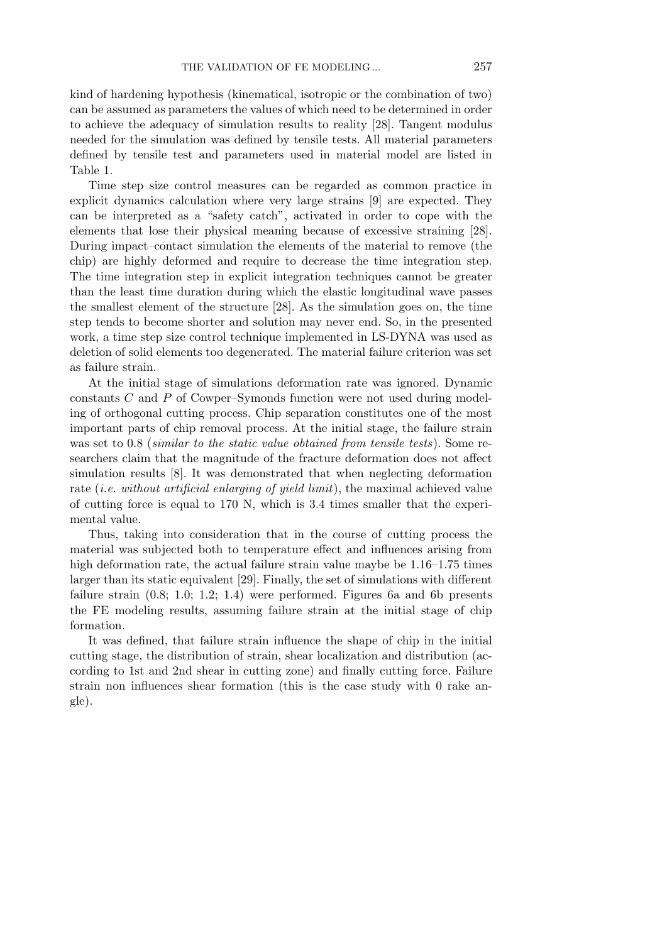kind of hardening hypothesis (kinematical, isotropic or the combination of two) can be assumed as parameters the values of which need to be determined in order to achieve the adequacy of simulation results to reality [28]. Tangent modulus needed for the simulation was defined by tensile tests. All material parameters defined by tensile test and parameters used in material model are listed in Table 1.

Time step size control measures can be regarded as common practice in explicit dynamics calculation where very large strains [9] are expected. They can be interpreted as a "safety catch", activated in order to cope with the elements that lose their physical meaning because of excessive straining [28]. During impact–contact simulation the elements of the material to remove (the chip) are highly deformed and require to decrease the time integration step. The time integration step in explicit integration techniques cannot be greater than the least time duration during which the elastic longitudinal wave passes the smallest element of the structure [28]. As the simulation goes on, the time step tends to become shorter and solution may never end. So, in the presented work, a time step size control technique implemented in LS-DYNA was used as deletion of solid elements too degenerated. The material failure criterion was set as failure strain.

At the initial stage of simulations deformation rate was ignored. Dynamic constants *C* and *P* of Cowper–Symonds function were not used during modeling of orthogonal cutting process. Chip separation constitutes one of the most important parts of chip removal process. At the initial stage, the failure strain was set to 0.8 (*similar to the static value obtained from tensile tests*). Some researchers claim that the magnitude of the fracture deformation does not affect simulation results [8]. It was demonstrated that when neglecting deformation rate (*i.e. without artificial enlarging of yield limit*), the maximal achieved value of cutting force is equal to 170 N, which is 3.4 times smaller that the experimental value.

Thus, taking into consideration that in the course of cutting process the material was subjected both to temperature effect and influences arising from high deformation rate, the actual failure strain value maybe be  $1.16-1.75$  times larger than its static equivalent [29]. Finally, the set of simulations with different failure strain (0.8; 1.0; 1.2; 1.4) were performed. Figures 6a and 6b presents the FE modeling results, assuming failure strain at the initial stage of chip formation.

It was defined, that failure strain influence the shape of chip in the initial cutting stage, the distribution of strain, shear localization and distribution (according to 1st and 2nd shear in cutting zone) and finally cutting force. Failure strain non influences shear formation (this is the case study with 0 rake angle).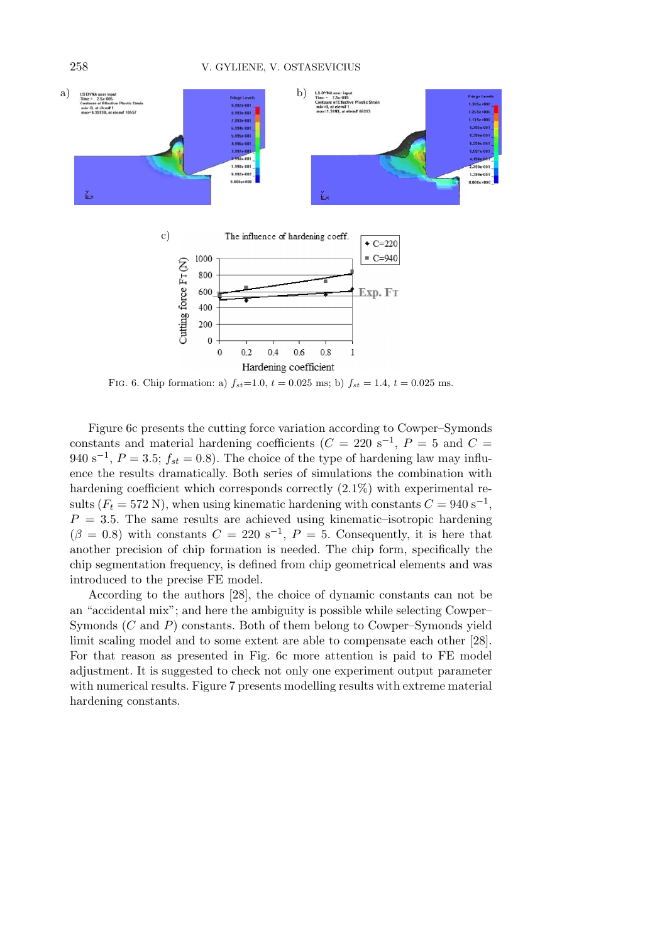

FIG. 6. Chip formation: a)  $f_{st} = 1.0$ ,  $t = 0.025$  ms; b)  $f_{st} = 1.4$ ,  $t = 0.025$  ms.

Figure 6c presents the cutting force variation according to Cowper–Symonds constants and material hardening coefficients  $(C = 220 \text{ s}^{-1}, P = 5 \text{ and } C =$  $940 \text{ s}^{-1}$ ,  $P = 3.5$ ;  $f_{st} = 0.8$ ). The choice of the type of hardening law may influence the results dramatically. Both series of simulations the combination with hardening coefficient which corresponds correctly (2.1%) with experimental results ( $F_t = 572$  N), when using kinematic hardening with constants  $C = 940 \text{ s}^{-1}$ ,  $P = 3.5$ . The same results are achieved using kinematic–isotropic hardening  $(\beta = 0.8)$  with constants  $C = 220$  s<sup>-1</sup>,  $P = 5$ . Consequently, it is here that another precision of chip formation is needed. The chip form, specifically the chip segmentation frequency, is defined from chip geometrical elements and was introduced to the precise FE model.

According to the authors [28], the choice of dynamic constants can not be an "accidental mix"; and here the ambiguity is possible while selecting Cowper– Symonds (*C* and *P*) constants. Both of them belong to Cowper–Symonds yield limit scaling model and to some extent are able to compensate each other [28]. For that reason as presented in Fig. 6c more attention is paid to FE model adjustment. It is suggested to check not only one experiment output parameter with numerical results. Figure 7 presents modelling results with extreme material hardening constants.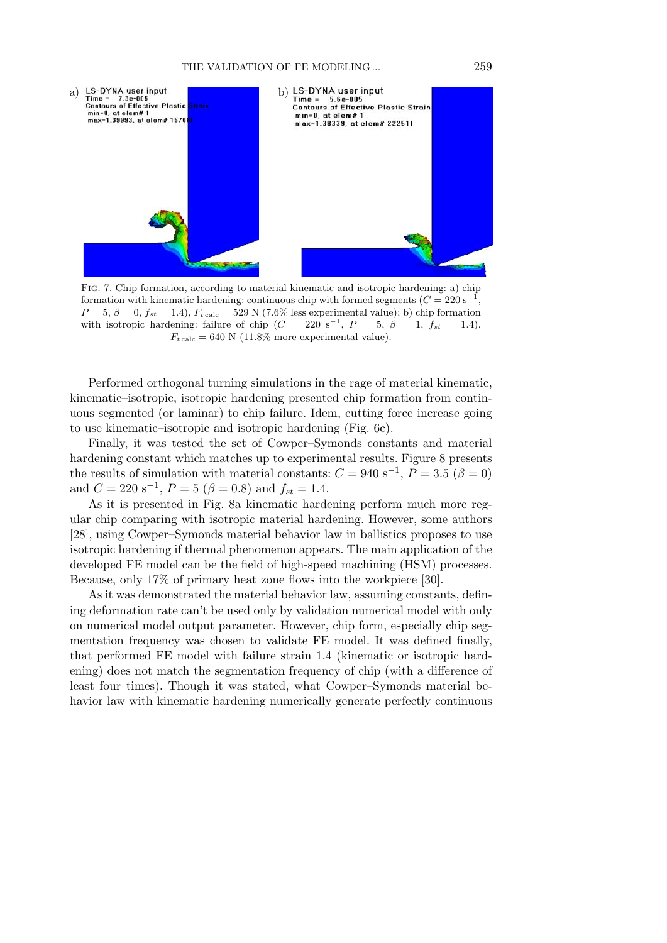

Fig. 7. Chip formation, according to material kinematic and isotropic hardening: a) chip formation with kinematic hardening: continuous chip with formed segments  $(C = 220 s^{-1},$  $P = 5, \beta = 0, f_{st} = 1.4$ ,  $F_{t \text{ calc}} = 529 \text{ N}$  (7.6% less experimental value); b) chip formation with isotropic hardening: failure of chip  $(C = 220 \text{ s}^{-1}, P = 5, \beta = 1, f_{st} = 1.4)$ ,  $F_t$ <sub>calc</sub> = 640 N (11.8% more experimental value).

Performed orthogonal turning simulations in the rage of material kinematic, kinematic–isotropic, isotropic hardening presented chip formation from continuous segmented (or laminar) to chip failure. Idem, cutting force increase going to use kinematic–isotropic and isotropic hardening (Fig. 6c).

Finally, it was tested the set of Cowper–Symonds constants and material hardening constant which matches up to experimental results. Figure 8 presents the results of simulation with material constants:  $C = 940 \text{ s}^{-1}$ ,  $P = 3.5 \ (\beta = 0)$ and  $C = 220 \text{ s}^{-1}$ ,  $P = 5 \ (\beta = 0.8) \text{ and } f_{st} = 1.4$ .

As it is presented in Fig. 8a kinematic hardening perform much more regular chip comparing with isotropic material hardening. However, some authors [28], using Cowper–Symonds material behavior law in ballistics proposes to use isotropic hardening if thermal phenomenon appears. The main application of the developed FE model can be the field of high-speed machining (HSM) processes. Because, only 17% of primary heat zone flows into the workpiece [30].

As it was demonstrated the material behavior law, assuming constants, defining deformation rate can't be used only by validation numerical model with only on numerical model output parameter. However, chip form, especially chip segmentation frequency was chosen to validate FE model. It was defined finally, that performed FE model with failure strain 1.4 (kinematic or isotropic hardening) does not match the segmentation frequency of chip (with a difference of least four times). Though it was stated, what Cowper–Symonds material behavior law with kinematic hardening numerically generate perfectly continuous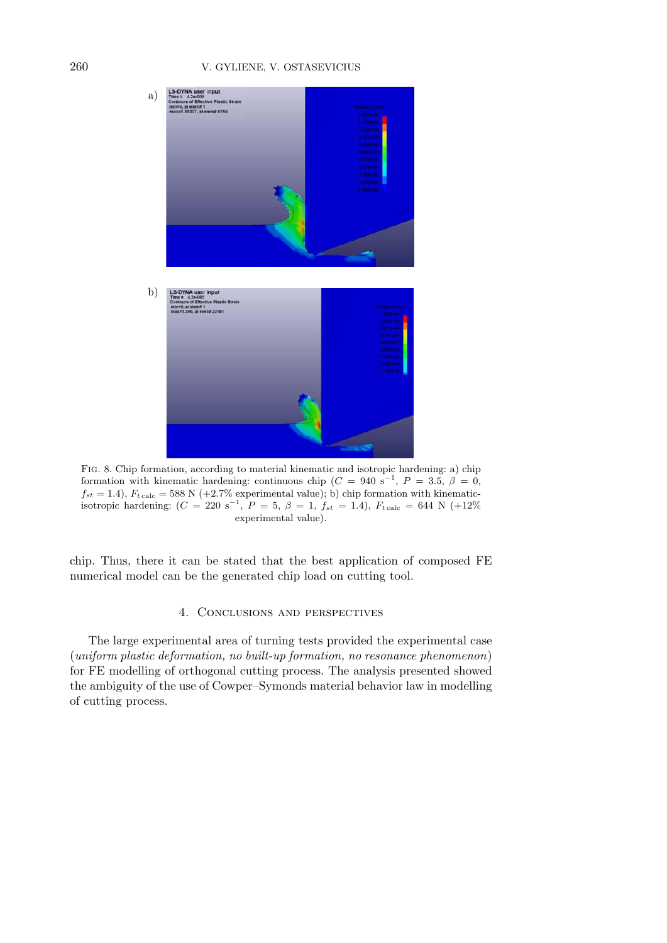## 260 V. GYLIENE, V. OSTASEVICIUS



Fig. 8. Chip formation, according to material kinematic and isotropic hardening: a) chip formation with kinematic hardening: continuous chip  $(C = 940 \text{ s}^{-1}, P = 3.5, \beta = 0,$  $f_{st} = 1.4$ ,  $F_{t \text{ calc}} = 588 \text{ N } (+2.7\% \text{ experimental value})$ ; b) chip formation with kinematicisotropic hardening:  $(C = 220 \text{ s}^{-1}, P = 5, \beta = 1, f_{st} = 1.4), F_{t \text{ calc}} = 644 \text{ N } (+12\%$ experimental value).

chip. Thus, there it can be stated that the best application of composed FE numerical model can be the generated chip load on cutting tool.

## 4. Conclusions and perspectives

The large experimental area of turning tests provided the experimental case (*uniform plastic deformation, no built-up formation, no resonance phenomenon*) for FE modelling of orthogonal cutting process. The analysis presented showed the ambiguity of the use of Cowper–Symonds material behavior law in modelling of cutting process.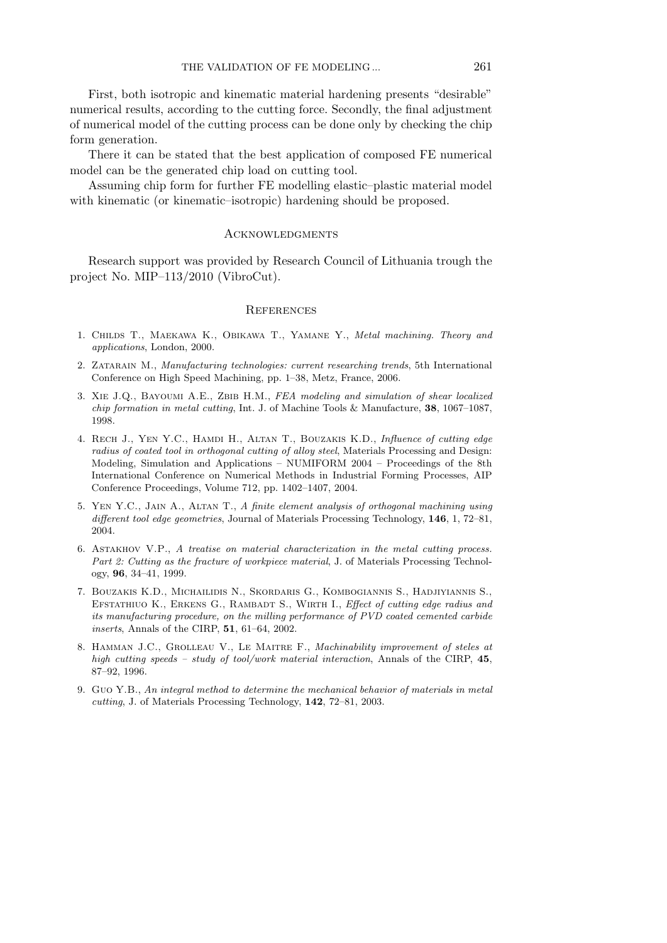First, both isotropic and kinematic material hardening presents "desirable" numerical results, according to the cutting force. Secondly, the final adjustment of numerical model of the cutting process can be done only by checking the chip form generation.

There it can be stated that the best application of composed FE numerical model can be the generated chip load on cutting tool.

Assuming chip form for further FE modelling elastic–plastic material model with kinematic (or kinematic–isotropic) hardening should be proposed.

## ACKNOWLEDGMENTS

Research support was provided by Research Council of Lithuania trough the project No. MIP–113/2010 (VibroCut).

#### **REFERENCES**

- 1. Childs T., Maekawa K., Obikawa T., Yamane Y., *Metal machining. Theory and applications*, London, 2000.
- 2. Zatarain M., *Manufacturing technologies: current researching trends*, 5th International Conference on High Speed Machining, pp. 1–38, Metz, France, 2006.
- 3. Xie J.Q., Bayoumi A.E., Zbib H.M., *FEA modeling and simulation of shear localized chip formation in metal cutting*, Int. J. of Machine Tools & Manufacture, **38**, 1067–1087, 1998.
- 4. Rech J., Yen Y.C., Hamdi H., Altan T., Bouzakis K.D., *Influence of cutting edge radius of coated tool in orthogonal cutting of alloy steel*, Materials Processing and Design: Modeling, Simulation and Applications – NUMIFORM 2004 – Proceedings of the 8th International Conference on Numerical Methods in Industrial Forming Processes, AIP Conference Proceedings, Volume 712, pp. 1402–1407, 2004.
- 5. Yen Y.C., Jain A., Altan T., *A finite element analysis of orthogonal machining using different tool edge geometries*, Journal of Materials Processing Technology, **146**, 1, 72–81, 2004.
- 6. Astakhov V.P., *A treatise on material characterization in the metal cutting process. Part 2: Cutting as the fracture of workpiece material*, J. of Materials Processing Technology, **96**, 34–41, 1999.
- 7. Bouzakis K.D., Michailidis N., Skordaris G., Kombogiannis S., Hadjiyiannis S., EFSTATHIUO K., ERKENS G., RAMBADT S., WIRTH I., *Effect of cutting edge radius and its manufacturing procedure, on the milling performance of PVD coated cemented carbide inserts*, Annals of the CIRP, **51**, 61–64, 2002.
- 8. Hamman J.C., Grolleau V., Le Maitre F., *Machinability improvement of steles at high cutting speeds – study of tool/work material interaction*, Annals of the CIRP, **45**, 87–92, 1996.
- 9. Guo Y.B., *An integral method to determine the mechanical behavior of materials in metal cutting*, J. of Materials Processing Technology, **142**, 72–81, 2003.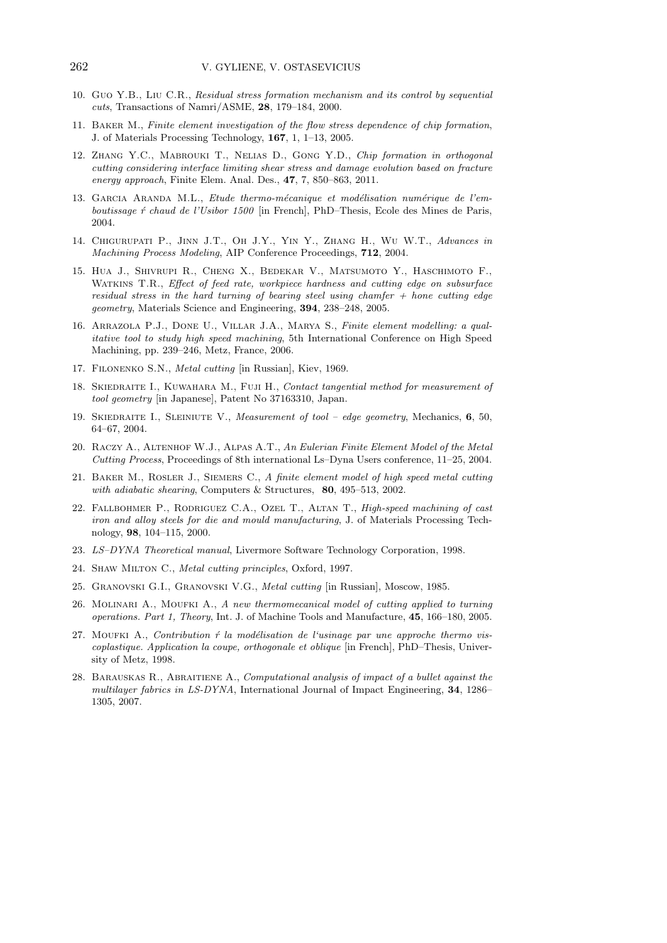- 10. Guo Y.B., Liu C.R., *Residual stress formation mechanism and its control by sequential cuts*, Transactions of Namri/ASME, **28**, 179–184, 2000.
- 11. Baker M., *Finite element investigation of the flow stress dependence of chip formation*, J. of Materials Processing Technology, **167**, 1, 1–13, 2005.
- 12. Zhang Y.C., Mabrouki T., Nelias D., Gong Y.D., *Chip formation in orthogonal cutting considering interface limiting shear stress and damage evolution based on fracture energy approach*, Finite Elem. Anal. Des., **47**, 7, 850–863, 2011.
- 13. GARCIA ARANDA M.L., *Etude thermo-mécanique et modélisation numérique de l'emboutissage ´r chaud de l'Usibor 1500* [in French], PhD–Thesis, Ecole des Mines de Paris, 2004.
- 14. Chigurupati P., Jinn J.T., Oh J.Y., Yin Y., Zhang H., Wu W.T., *Advances in Machining Process Modeling*, AIP Conference Proceedings, **712**, 2004.
- 15. Hua J., Shivrupi R., Cheng X., Bedekar V., Matsumoto Y., Haschimoto F., Watkins T.R., *Effect of feed rate, workpiece hardness and cutting edge on subsurface residual stress in the hard turning of bearing steel using chamfer + hone cutting edge geometry*, Materials Science and Engineering, **394**, 238–248, 2005.
- 16. Arrazola P.J., Done U., Villar J.A., Marya S., *Finite element modelling: a qualitative tool to study high speed machining*, 5th International Conference on High Speed Machining, pp. 239–246, Metz, France, 2006.
- 17. Filonenko S.N., *Metal cutting* [in Russian], Kiev, 1969.
- 18. Skiedraite I., Kuwahara M., Fuji H., *Contact tangential method for measurement of tool geometry* [in Japanese], Patent No 37163310, Japan.
- 19. Skiedraite I., Sleiniute V., *Measurement of tool edge geometry*, Mechanics, **6**, 50, 64–67, 2004.
- 20. Raczy A., Altenhof W.J., Alpas A.T., *An Eulerian Finite Element Model of the Metal Cutting Process*, Proceedings of 8th international Ls–Dyna Users conference, 11–25, 2004.
- 21. Baker M., Rosler J., Siemers C., *A finite element model of high speed metal cutting with adiabatic shearing*, Computers & Structures, **80**, 495–513, 2002.
- 22. Fallbohmer P., Rodriguez C.A., Ozel T., Altan T., *High-speed machining of cast iron and alloy steels for die and mould manufacturing*, J. of Materials Processing Technology, **98**, 104–115, 2000.
- 23. *LS–DYNA Theoretical manual*, Livermore Software Technology Corporation, 1998.
- 24. Shaw Milton C., *Metal cutting principles*, Oxford, 1997.
- 25. Granovski G.I., Granovski V.G., *Metal cutting* [in Russian], Moscow, 1985.
- 26. Molinari A., Moufki A., *A new thermomecanical model of cutting applied to turning operations. Part 1, Theory*, Int. J. of Machine Tools and Manufacture, **45**, 166–180, 2005.
- 27. Mourki A., *Contribution <i>ŕ* la modélisation de l'usinage par une approche thermo vis*coplastique. Application la coupe, orthogonale et oblique* [in French], PhD–Thesis, University of Metz, 1998.
- 28. Barauskas R., Abraitiene A., *Computational analysis of impact of a bullet against the multilayer fabrics in LS-DYNA*, International Journal of Impact Engineering, **34**, 1286– 1305, 2007.